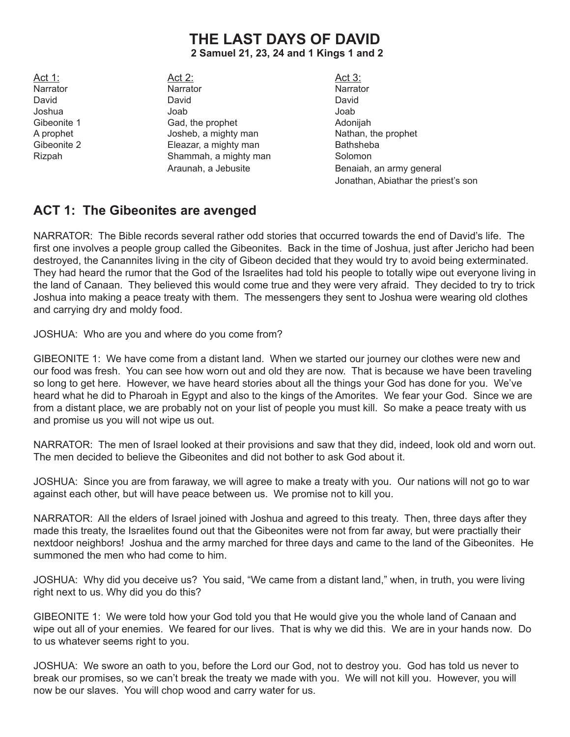## **THE LAST DAYS OF DAVID 2 Samuel 21, 23, 24 and 1 Kings 1 and 2**

Act 1: Act 2: Act 2: Act 3: Narrator **National National National National National National National National National National National National National National National National National National National National National National National Natio** David David David David David Joshua Joab Joab Gibeonite 1 Gad, the prophet Adonijah A prophet **A** prophet Josheb, a mighty man Nathan, the prophet Gibeonite 2 **Eleazar, a mighty man** Bathsheba Rizpah Shammah, a mighty man Solomon

Araunah, a Jebusite **Benaiah**, an army general Jonathan, Abiathar the priest's son

## **ACT 1: The Gibeonites are avenged**

NARRATOR: The Bible records several rather odd stories that occurred towards the end of David's life. The first one involves a people group called the Gibeonites. Back in the time of Joshua, just after Jericho had been destroyed, the Canannites living in the city of Gibeon decided that they would try to avoid being exterminated. They had heard the rumor that the God of the Israelites had told his people to totally wipe out everyone living in the land of Canaan. They believed this would come true and they were very afraid. They decided to try to trick Joshua into making a peace treaty with them. The messengers they sent to Joshua were wearing old clothes and carrying dry and moldy food.

JOSHUA: Who are you and where do you come from?

GIBEONITE 1: We have come from a distant land. When we started our journey our clothes were new and our food was fresh. You can see how worn out and old they are now. That is because we have been traveling so long to get here. However, we have heard stories about all the things your God has done for you. We've heard what he did to Pharoah in Egypt and also to the kings of the Amorites. We fear your God. Since we are from a distant place, we are probably not on your list of people you must kill. So make a peace treaty with us and promise us you will not wipe us out.

NARRATOR: The men of Israel looked at their provisions and saw that they did, indeed, look old and worn out. The men decided to believe the Gibeonites and did not bother to ask God about it.

JOSHUA: Since you are from faraway, we will agree to make a treaty with you. Our nations will not go to war against each other, but will have peace between us. We promise not to kill you.

NARRATOR: All the elders of Israel joined with Joshua and agreed to this treaty. Then, three days after they made this treaty, the Israelites found out that the Gibeonites were not from far away, but were practially their nextdoor neighbors! Joshua and the army marched for three days and came to the land of the Gibeonites. He summoned the men who had come to him.

JOSHUA: Why did you deceive us? You said, "We came from a distant land," when, in truth, you were living right next to us. Why did you do this?

GIBEONITE 1: We were told how your God told you that He would give you the whole land of Canaan and wipe out all of your enemies. We feared for our lives. That is why we did this. We are in your hands now. Do to us whatever seems right to you.

JOSHUA: We swore an oath to you, before the Lord our God, not to destroy you. God has told us never to break our promises, so we can't break the treaty we made with you. We will not kill you. However, you will now be our slaves. You will chop wood and carry water for us.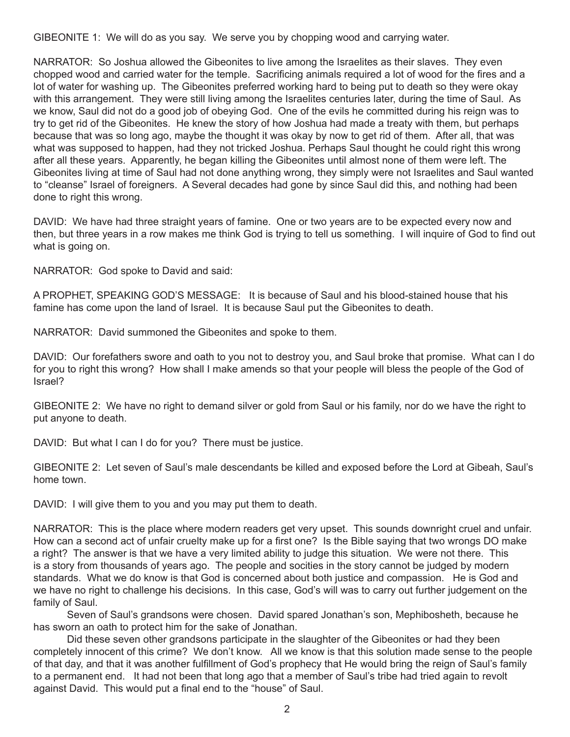GIBEONITE 1: We will do as you say. We serve you by chopping wood and carrying water.

NARRATOR: So Joshua allowed the Gibeonites to live among the Israelites as their slaves. They even chopped wood and carried water for the temple. Sacrificing animals required a lot of wood for the fires and a lot of water for washing up. The Gibeonites preferred working hard to being put to death so they were okay with this arrangement. They were still living among the Israelites centuries later, during the time of Saul. As we know, Saul did not do a good job of obeying God. One of the evils he committed during his reign was to try to get rid of the Gibeonites. He knew the story of how Joshua had made a treaty with them, but perhaps because that was so long ago, maybe the thought it was okay by now to get rid of them. After all, that was what was supposed to happen, had they not tricked Joshua. Perhaps Saul thought he could right this wrong after all these years. Apparently, he began killing the Gibeonites until almost none of them were left. The Gibeonites living at time of Saul had not done anything wrong, they simply were not Israelites and Saul wanted to "cleanse" Israel of foreigners. A Several decades had gone by since Saul did this, and nothing had been done to right this wrong.

DAVID: We have had three straight years of famine. One or two years are to be expected every now and then, but three years in a row makes me think God is trying to tell us something. I will inquire of God to find out what is going on.

NARRATOR: God spoke to David and said:

A PROPHET, SPEAKING GOD'S MESSAGE: It is because of Saul and his blood-stained house that his famine has come upon the land of Israel. It is because Saul put the Gibeonites to death.

NARRATOR: David summoned the Gibeonites and spoke to them.

DAVID: Our forefathers swore and oath to you not to destroy you, and Saul broke that promise. What can I do for you to right this wrong? How shall I make amends so that your people will bless the people of the God of Israel?

GIBEONITE 2: We have no right to demand silver or gold from Saul or his family, nor do we have the right to put anyone to death.

DAVID: But what I can I do for you? There must be justice.

GIBEONITE 2: Let seven of Saul's male descendants be killed and exposed before the Lord at Gibeah, Saul's home town.

DAVID: I will give them to you and you may put them to death.

NARRATOR: This is the place where modern readers get very upset. This sounds downright cruel and unfair. How can a second act of unfair cruelty make up for a first one? Is the Bible saying that two wrongs DO make a right? The answer is that we have a very limited ability to judge this situation. We were not there. This is a story from thousands of years ago. The people and socities in the story cannot be judged by modern standards. What we do know is that God is concerned about both justice and compassion. He is God and we have no right to challenge his decisions. In this case, God's will was to carry out further judgement on the family of Saul.

Seven of Saul's grandsons were chosen. David spared Jonathan's son, Mephibosheth, because he has sworn an oath to protect him for the sake of Jonathan.

Did these seven other grandsons participate in the slaughter of the Gibeonites or had they been completely innocent of this crime? We don't know. All we know is that this solution made sense to the people of that day, and that it was another fulfillment of God's prophecy that He would bring the reign of Saul's family to a permanent end. It had not been that long ago that a member of Saul's tribe had tried again to revolt against David. This would put a final end to the "house" of Saul.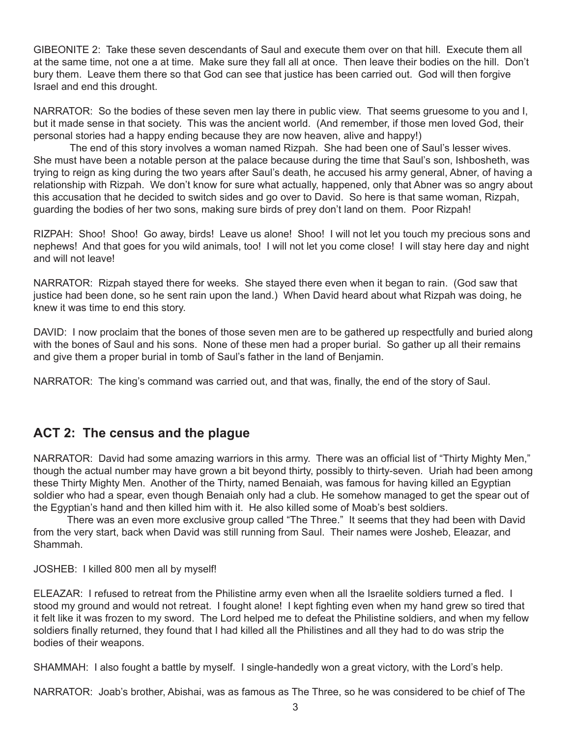GIBEONITE 2: Take these seven descendants of Saul and execute them over on that hill. Execute them all at the same time, not one a at time. Make sure they fall all at once. Then leave their bodies on the hill. Don't bury them. Leave them there so that God can see that justice has been carried out. God will then forgive Israel and end this drought.

NARRATOR: So the bodies of these seven men lay there in public view. That seems gruesome to you and I, but it made sense in that society. This was the ancient world. (And remember, if those men loved God, their personal stories had a happy ending because they are now heaven, alive and happy!)

 The end of this story involves a woman named Rizpah. She had been one of Saul's lesser wives. She must have been a notable person at the palace because during the time that Saul's son, Ishbosheth, was trying to reign as king during the two years after Saul's death, he accused his army general, Abner, of having a relationship with Rizpah. We don't know for sure what actually, happened, only that Abner was so angry about this accusation that he decided to switch sides and go over to David. So here is that same woman, Rizpah, guarding the bodies of her two sons, making sure birds of prey don't land on them. Poor Rizpah!

RIZPAH: Shoo! Shoo! Go away, birds! Leave us alone! Shoo! I will not let you touch my precious sons and nephews! And that goes for you wild animals, too! I will not let you come close! I will stay here day and night and will not leave!

NARRATOR: Rizpah stayed there for weeks. She stayed there even when it began to rain. (God saw that justice had been done, so he sent rain upon the land.) When David heard about what Rizpah was doing, he knew it was time to end this story.

DAVID: I now proclaim that the bones of those seven men are to be gathered up respectfully and buried along with the bones of Saul and his sons. None of these men had a proper burial. So gather up all their remains and give them a proper burial in tomb of Saul's father in the land of Benjamin.

NARRATOR: The king's command was carried out, and that was, finally, the end of the story of Saul.

## **ACT 2: The census and the plague**

NARRATOR: David had some amazing warriors in this army. There was an official list of "Thirty Mighty Men," though the actual number may have grown a bit beyond thirty, possibly to thirty-seven. Uriah had been among these Thirty Mighty Men. Another of the Thirty, named Benaiah, was famous for having killed an Egyptian soldier who had a spear, even though Benaiah only had a club. He somehow managed to get the spear out of the Egyptian's hand and then killed him with it. He also killed some of Moab's best soldiers.

There was an even more exclusive group called "The Three." It seems that they had been with David from the very start, back when David was still running from Saul. Their names were Josheb, Eleazar, and Shammah.

JOSHEB: I killed 800 men all by myself!

ELEAZAR: I refused to retreat from the Philistine army even when all the Israelite soldiers turned a fled. I stood my ground and would not retreat. I fought alone! I kept fighting even when my hand grew so tired that it felt like it was frozen to my sword. The Lord helped me to defeat the Philistine soldiers, and when my fellow soldiers finally returned, they found that I had killed all the Philistines and all they had to do was strip the bodies of their weapons.

SHAMMAH: I also fought a battle by myself. I single-handedly won a great victory, with the Lord's help.

NARRATOR: Joab's brother, Abishai, was as famous as The Three, so he was considered to be chief of The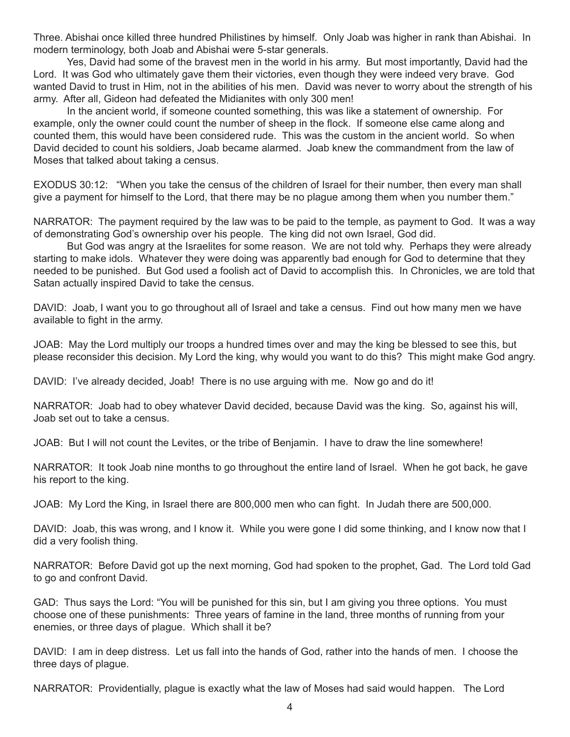Three. Abishai once killed three hundred Philistines by himself. Only Joab was higher in rank than Abishai. In modern terminology, both Joab and Abishai were 5-star generals.

Yes, David had some of the bravest men in the world in his army. But most importantly, David had the Lord. It was God who ultimately gave them their victories, even though they were indeed very brave. God wanted David to trust in Him, not in the abilities of his men. David was never to worry about the strength of his army. After all, Gideon had defeated the Midianites with only 300 men!

In the ancient world, if someone counted something, this was like a statement of ownership. For example, only the owner could count the number of sheep in the flock. If someone else came along and counted them, this would have been considered rude. This was the custom in the ancient world. So when David decided to count his soldiers, Joab became alarmed. Joab knew the commandment from the law of Moses that talked about taking a census.

EXODUS 30:12: "When you take the census of the children of Israel for their number, then every man shall give a payment for himself to the Lord, that there may be no plague among them when you number them."

NARRATOR: The payment required by the law was to be paid to the temple, as payment to God. It was a way of demonstrating God's ownership over his people. The king did not own Israel, God did.

But God was angry at the Israelites for some reason. We are not told why. Perhaps they were already starting to make idols. Whatever they were doing was apparently bad enough for God to determine that they needed to be punished. But God used a foolish act of David to accomplish this. In Chronicles, we are told that Satan actually inspired David to take the census.

DAVID: Joab, I want you to go throughout all of Israel and take a census. Find out how many men we have available to fight in the army.

JOAB: May the Lord multiply our troops a hundred times over and may the king be blessed to see this, but please reconsider this decision. My Lord the king, why would you want to do this? This might make God angry.

DAVID: I've already decided, Joab! There is no use arguing with me. Now go and do it!

NARRATOR: Joab had to obey whatever David decided, because David was the king. So, against his will, Joab set out to take a census.

JOAB: But I will not count the Levites, or the tribe of Benjamin. I have to draw the line somewhere!

NARRATOR: It took Joab nine months to go throughout the entire land of Israel. When he got back, he gave his report to the king.

JOAB: My Lord the King, in Israel there are 800,000 men who can fight. In Judah there are 500,000.

DAVID: Joab, this was wrong, and I know it. While you were gone I did some thinking, and I know now that I did a very foolish thing.

NARRATOR: Before David got up the next morning, God had spoken to the prophet, Gad. The Lord told Gad to go and confront David.

GAD: Thus says the Lord: "You will be punished for this sin, but I am giving you three options. You must choose one of these punishments: Three years of famine in the land, three months of running from your enemies, or three days of plague. Which shall it be?

DAVID: I am in deep distress. Let us fall into the hands of God, rather into the hands of men. I choose the three days of plague.

NARRATOR: Providentially, plague is exactly what the law of Moses had said would happen. The Lord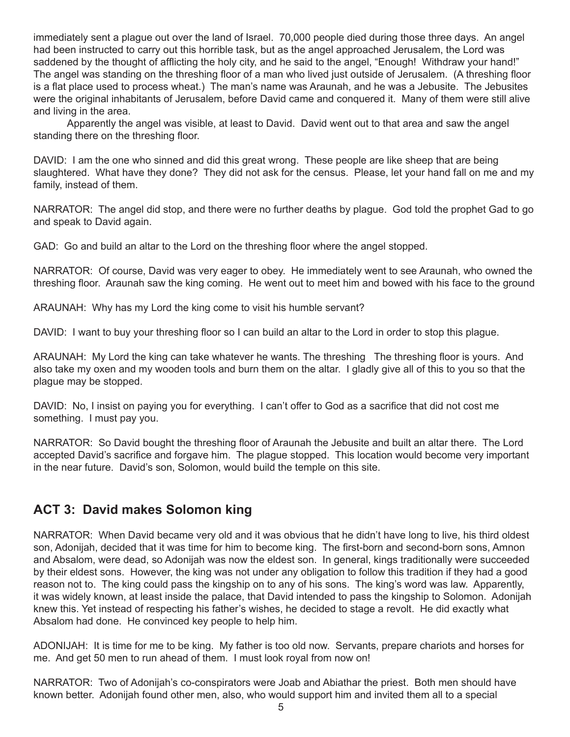immediately sent a plague out over the land of Israel. 70,000 people died during those three days. An angel had been instructed to carry out this horrible task, but as the angel approached Jerusalem, the Lord was saddened by the thought of afflicting the holy city, and he said to the angel, "Enough! Withdraw your hand!" The angel was standing on the threshing floor of a man who lived just outside of Jerusalem. (A threshing floor is a flat place used to process wheat.) The man's name was Araunah, and he was a Jebusite. The Jebusites were the original inhabitants of Jerusalem, before David came and conquered it. Many of them were still alive and living in the area.

Apparently the angel was visible, at least to David. David went out to that area and saw the angel standing there on the threshing floor.

DAVID: I am the one who sinned and did this great wrong. These people are like sheep that are being slaughtered. What have they done? They did not ask for the census. Please, let your hand fall on me and my family, instead of them.

NARRATOR: The angel did stop, and there were no further deaths by plague. God told the prophet Gad to go and speak to David again.

GAD: Go and build an altar to the Lord on the threshing floor where the angel stopped.

NARRATOR: Of course, David was very eager to obey. He immediately went to see Araunah, who owned the threshing floor. Araunah saw the king coming. He went out to meet him and bowed with his face to the ground

ARAUNAH: Why has my Lord the king come to visit his humble servant?

DAVID: I want to buy your threshing floor so I can build an altar to the Lord in order to stop this plague.

ARAUNAH: My Lord the king can take whatever he wants. The threshing The threshing floor is yours. And also take my oxen and my wooden tools and burn them on the altar. I gladly give all of this to you so that the plague may be stopped.

DAVID: No, I insist on paying you for everything. I can't offer to God as a sacrifice that did not cost me something. I must pay you.

NARRATOR: So David bought the threshing floor of Araunah the Jebusite and built an altar there. The Lord accepted David's sacrifice and forgave him. The plague stopped. This location would become very important in the near future. David's son, Solomon, would build the temple on this site.

## **ACT 3: David makes Solomon king**

NARRATOR: When David became very old and it was obvious that he didn't have long to live, his third oldest son, Adonijah, decided that it was time for him to become king. The first-born and second-born sons, Amnon and Absalom, were dead, so Adonijah was now the eldest son. In general, kings traditionally were succeeded by their eldest sons. However, the king was not under any obligation to follow this tradition if they had a good reason not to. The king could pass the kingship on to any of his sons. The king's word was law. Apparently, it was widely known, at least inside the palace, that David intended to pass the kingship to Solomon. Adonijah knew this. Yet instead of respecting his father's wishes, he decided to stage a revolt. He did exactly what Absalom had done. He convinced key people to help him.

ADONIJAH: It is time for me to be king. My father is too old now. Servants, prepare chariots and horses for me. And get 50 men to run ahead of them. I must look royal from now on!

NARRATOR: Two of Adonijah's co-conspirators were Joab and Abiathar the priest. Both men should have known better. Adonijah found other men, also, who would support him and invited them all to a special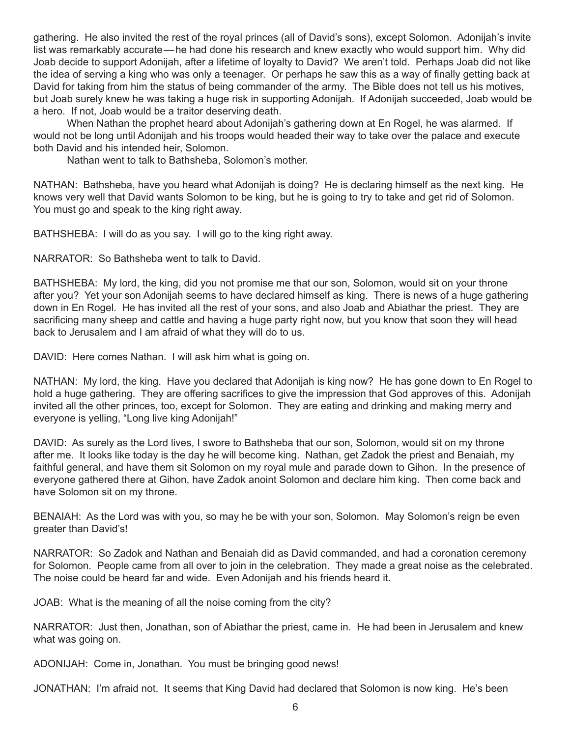gathering. He also invited the rest of the royal princes (all of David's sons), except Solomon. Adonijah's invite list was remarkably accurate—he had done his research and knew exactly who would support him. Why did Joab decide to support Adonijah, after a lifetime of loyalty to David? We aren't told. Perhaps Joab did not like the idea of serving a king who was only a teenager. Or perhaps he saw this as a way of finally getting back at David for taking from him the status of being commander of the army. The Bible does not tell us his motives, but Joab surely knew he was taking a huge risk in supporting Adonijah. If Adonijah succeeded, Joab would be a hero. If not, Joab would be a traitor deserving death.

When Nathan the prophet heard about Adonijah's gathering down at En Rogel, he was alarmed. If would not be long until Adonijah and his troops would headed their way to take over the palace and execute both David and his intended heir, Solomon.

Nathan went to talk to Bathsheba, Solomon's mother.

NATHAN: Bathsheba, have you heard what Adonijah is doing? He is declaring himself as the next king. He knows very well that David wants Solomon to be king, but he is going to try to take and get rid of Solomon. You must go and speak to the king right away.

BATHSHEBA: I will do as you say. I will go to the king right away.

NARRATOR: So Bathsheba went to talk to David.

BATHSHEBA: My lord, the king, did you not promise me that our son, Solomon, would sit on your throne after you? Yet your son Adonijah seems to have declared himself as king. There is news of a huge gathering down in En Rogel. He has invited all the rest of your sons, and also Joab and Abiathar the priest. They are sacrificing many sheep and cattle and having a huge party right now, but you know that soon they will head back to Jerusalem and I am afraid of what they will do to us.

DAVID: Here comes Nathan. I will ask him what is going on.

NATHAN: My lord, the king. Have you declared that Adonijah is king now? He has gone down to En Rogel to hold a huge gathering. They are offering sacrifices to give the impression that God approves of this. Adonijah invited all the other princes, too, except for Solomon. They are eating and drinking and making merry and everyone is yelling, "Long live king Adonijah!"

DAVID: As surely as the Lord lives, I swore to Bathsheba that our son, Solomon, would sit on my throne after me. It looks like today is the day he will become king. Nathan, get Zadok the priest and Benaiah, my faithful general, and have them sit Solomon on my royal mule and parade down to Gihon. In the presence of everyone gathered there at Gihon, have Zadok anoint Solomon and declare him king. Then come back and have Solomon sit on my throne.

BENAIAH: As the Lord was with you, so may he be with your son, Solomon. May Solomon's reign be even greater than David's!

NARRATOR: So Zadok and Nathan and Benaiah did as David commanded, and had a coronation ceremony for Solomon. People came from all over to join in the celebration. They made a great noise as the celebrated. The noise could be heard far and wide. Even Adonijah and his friends heard it.

JOAB: What is the meaning of all the noise coming from the city?

NARRATOR: Just then, Jonathan, son of Abiathar the priest, came in. He had been in Jerusalem and knew what was going on.

ADONIJAH: Come in, Jonathan. You must be bringing good news!

JONATHAN: I'm afraid not. It seems that King David had declared that Solomon is now king. He's been